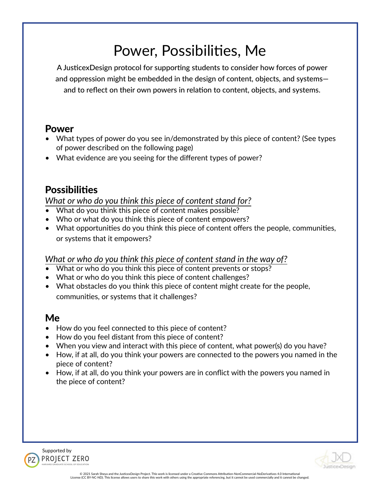# Power, Possibilities, Me

A JusticexDesign protocol for supporting students to consider how forces of power and oppression might be embedded in the design of content, objects, and systems and to reflect on their own powers in relation to content, objects, and systems.

## Power

- What types of power do you see in/demonstrated by this piece of content? (See types of power described on the following page)
- What evidence are you seeing for the different types of power?

# **Possibilities**

*What or who do you think this piece of content stand for?*

- What do you think this piece of content makes possible?
- Who or what do you think this piece of content empowers?
- What opportunities do you think this piece of content offers the people, communities, or systems that it empowers?

### *What or who do you think this piece of content stand in the way of?*

- What or who do you think this piece of content prevents or stops?
- What or who do you think this piece of content challenges?
- What obstacles do you think this piece of content might create for the people, communities, or systems that it challenges?

### Me

- How do you feel connected to this piece of content?
- How do you feel distant from this piece of content?
- When you view and interact with this piece of content, what power(s) do you have?
- How, if at all, do you think your powers are connected to the powers you named in the piece of content?
- How, if at all, do you think your powers are in conflict with the powers you named in the piece of content?





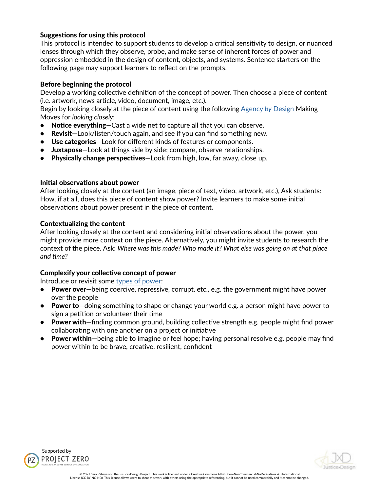#### Suggestions for using this protocol

This protocol is intended to support students to develop a critical sensitivity to design, or nuanced lenses through which they observe, probe, and make sense of inherent forces of power and oppression embedded in the design of content, objects, and systems. Sentence starters on the following page may support learners to reflect on the prompts.

#### Before beginning the protocol

Develop a working collective definition of the concept of power. Then choose a piece of content (i.e. artwork, news article, video, document, image, etc.).

Begin by looking closely at the piece of content using the following [Agency](http://www.agencybydesign.org/explore-the-framework) *by* Design Making Moves for *looking closely*:

- Notice everything–Cast a wide net to capture all that you can observe.
- Revisit-Look/listen/touch again, and see if you can find something new.
- Use categories-Look for different kinds of features or components.
- Juxtapose-Look at things side by side; compare, observe relationships.
- Physically change perspectives—Look from high, low, far away, close up.

#### Initial observations about power

After looking closely at the content (an image, piece of text, video, artwork, etc.), Ask students: How, if at all, does this piece of content show power? Invite learners to make some initial observations about power present in the piece of content.

#### Contextualizing the content

After looking closely at the content and considering initial observations about the power, you might provide more context on the piece. Alternatively, you might invite students to research the context of the piece. Ask: *Where was this made? Who made it? What else was going on at that place and time?*

#### Complexify your collective concept of power

Introduce or revisit some [types of power](https://comm-org.wisc.edu/papers2007/miller.htm#Sources%20and%20Expressions%20of%20Power):

- Power over—being coercive, repressive, corrupt, etc., e.g. the government might have power over the people
- Power to—doing something to shape or change your world e.g. a person might have power to sign a petition or volunteer their time
- Power with–finding common ground, building collective strength e.g. people might find power collaborating with one another on a project or initiative
- Power within—being able to imagine or feel hope; having personal resolve e.g. people may find power within to be brave, creative, resilient, confident